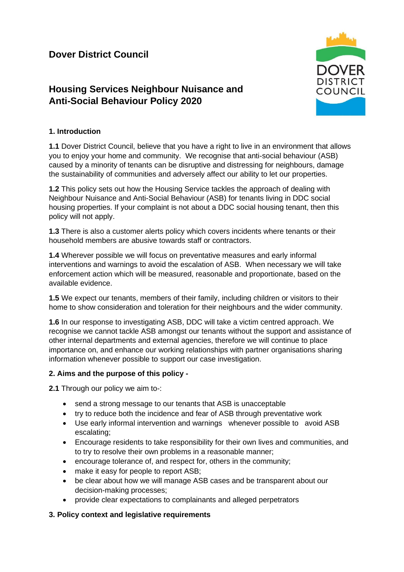# **Housing Services Neighbour Nuisance and Anti-Social Behaviour Policy 2020**



## **1. Introduction**

**1.1** Dover District Council, believe that you have a right to live in an environment that allows you to enjoy your home and community. We recognise that anti-social behaviour (ASB) caused by a minority of tenants can be disruptive and distressing for neighbours, damage the sustainability of communities and adversely affect our ability to let our properties.

**1.2** This policy sets out how the Housing Service tackles the approach of dealing with Neighbour Nuisance and Anti-Social Behaviour (ASB) for tenants living in DDC social housing properties. If your complaint is not about a DDC social housing tenant, then this policy will not apply.

**1.3** There is also a customer alerts policy which covers incidents where tenants or their household members are abusive towards staff or contractors.

**1.4** Wherever possible we will focus on preventative measures and early informal interventions and warnings to avoid the escalation of ASB. When necessary we will take enforcement action which will be measured, reasonable and proportionate, based on the available evidence.

**1.5** We expect our tenants, members of their family, including children or visitors to their home to show consideration and toleration for their neighbours and the wider community.

**1.6** In our response to investigating ASB, DDC will take a victim centred approach. We recognise we cannot tackle ASB amongst our tenants without the support and assistance of other internal departments and external agencies, therefore we will continue to place importance on, and enhance our working relationships with partner organisations sharing information whenever possible to support our case investigation.

## **2. Aims and the purpose of this policy -**

**2.1** Through our policy we aim to-:

- send a strong message to our tenants that ASB is unacceptable
- try to reduce both the incidence and fear of ASB through preventative work
- Use early informal intervention and warnings whenever possible to avoid ASB escalating;
- Encourage residents to take responsibility for their own lives and communities, and to try to resolve their own problems in a reasonable manner;
- encourage tolerance of, and respect for, others in the community;
- make it easy for people to report ASB;
- be clear about how we will manage ASB cases and be transparent about our decision-making processes;
- provide clear expectations to complainants and alleged perpetrators

## **3. Policy context and legislative requirements**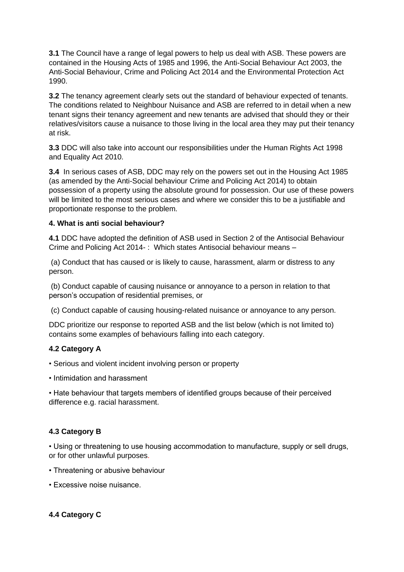**3.1** The Council have a range of legal powers to help us deal with ASB. These powers are contained in the Housing Acts of 1985 and 1996, the Anti-Social Behaviour Act 2003, the Anti-Social Behaviour, Crime and Policing Act 2014 and the Environmental Protection Act 1990.

**3.2** The tenancy agreement clearly sets out the standard of behaviour expected of tenants. The conditions related to Neighbour Nuisance and ASB are referred to in detail when a new tenant signs their tenancy agreement and new tenants are advised that should they or their relatives/visitors cause a nuisance to those living in the local area they may put their tenancy at risk.

**3.3** DDC will also take into account our responsibilities under the Human Rights Act 1998 and Equality Act 2010.

**3.4** In serious cases of ASB, DDC may rely on the powers set out in the Housing Act 1985 (as amended by the Anti-Social behaviour Crime and Policing Act 2014) to obtain possession of a property using the absolute ground for possession. Our use of these powers will be limited to the most serious cases and where we consider this to be a justifiable and proportionate response to the problem.

#### **4. What is anti social behaviour?**

**4.1** DDC have adopted the definition of ASB used in Section 2 of the Antisocial Behaviour Crime and Policing Act 2014- : Which states Antisocial behaviour means –

(a) Conduct that has caused or is likely to cause, harassment, alarm or distress to any person.

(b) Conduct capable of causing nuisance or annoyance to a person in relation to that person's occupation of residential premises, or

(c) Conduct capable of causing housing-related nuisance or annoyance to any person.

DDC prioritize our response to reported ASB and the list below (which is not limited to) contains some examples of behaviours falling into each category.

#### **4.2 Category A**

• Serious and violent incident involving person or property

• Intimidation and harassment

• Hate behaviour that targets members of identified groups because of their perceived difference e.g. racial harassment.

#### **4.3 Category B**

• Using or threatening to use housing accommodation to manufacture, supply or sell drugs, or for other unlawful purposes.

- Threatening or abusive behaviour
- Excessive noise nuisance.

## **4.4 Category C**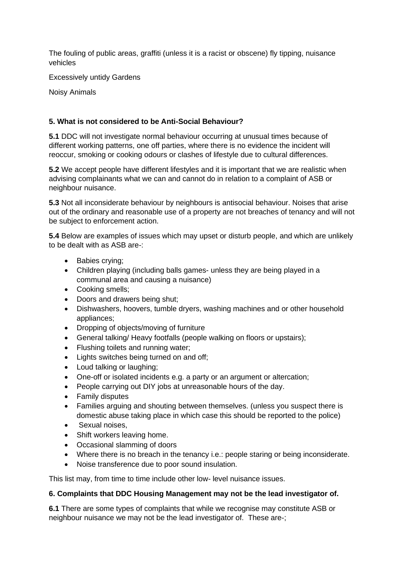The fouling of public areas, graffiti (unless it is a racist or obscene) fly tipping, nuisance vehicles

Excessively untidy Gardens

Noisy Animals

#### **5. What is not considered to be Anti-Social Behaviour?**

**5.1** DDC will not investigate normal behaviour occurring at unusual times because of different working patterns, one off parties, where there is no evidence the incident will reoccur, smoking or cooking odours or clashes of lifestyle due to cultural differences.

**5.2** We accept people have different lifestyles and it is important that we are realistic when advising complainants what we can and cannot do in relation to a complaint of ASB or neighbour nuisance.

**5.3** Not all inconsiderate behaviour by neighbours is antisocial behaviour. Noises that arise out of the ordinary and reasonable use of a property are not breaches of tenancy and will not be subject to enforcement action.

**5.4** Below are examples of issues which may upset or disturb people, and which are unlikely to be dealt with as ASB are-:

- Babies crying;
- Children playing (including balls games- unless they are being played in a communal area and causing a nuisance)
- Cooking smells;
- Doors and drawers being shut;
- Dishwashers, hoovers, tumble dryers, washing machines and or other household appliances;
- Dropping of objects/moving of furniture
- General talking/ Heavy footfalls (people walking on floors or upstairs);
- Flushing toilets and running water;
- Lights switches being turned on and off;
- Loud talking or laughing;
- One-off or isolated incidents e.g. a party or an argument or altercation;
- People carrying out DIY jobs at unreasonable hours of the day.
- Family disputes
- Families arguing and shouting between themselves. (unless you suspect there is domestic abuse taking place in which case this should be reported to the police)
- Sexual noises,
- Shift workers leaving home.
- Occasional slamming of doors
- Where there is no breach in the tenancy i.e.: people staring or being inconsiderate.
- Noise transference due to poor sound insulation.

This list may, from time to time include other low- level nuisance issues.

#### **6. Complaints that DDC Housing Management may not be the lead investigator of.**

**6.1** There are some types of complaints that while we recognise may constitute ASB or neighbour nuisance we may not be the lead investigator of. These are-;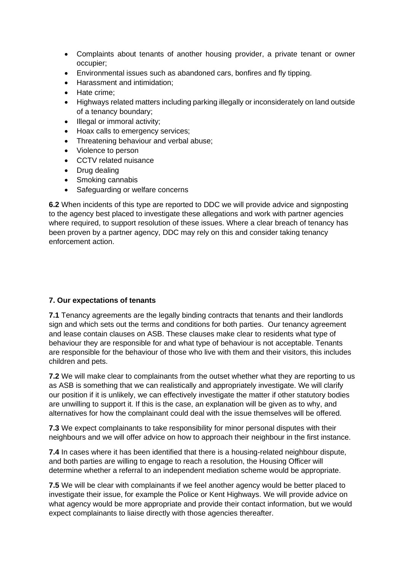- Complaints about tenants of another housing provider, a private tenant or owner occupier;
- Environmental issues such as abandoned cars, bonfires and fly tipping.
- Harassment and intimidation;
- Hate crime;
- Highways related matters including parking illegally or inconsiderately on land outside of a tenancy boundary;
- Illegal or immoral activity;
- Hoax calls to emergency services;
- Threatening behaviour and verbal abuse;
- Violence to person
- CCTV related nuisance
- Drug dealing
- Smoking cannabis
- Safeguarding or welfare concerns

**6.2** When incidents of this type are reported to DDC we will provide advice and signposting to the agency best placed to investigate these allegations and work with partner agencies where required, to support resolution of these issues. Where a clear breach of tenancy has been proven by a partner agency, DDC may rely on this and consider taking tenancy enforcement action.

#### **7. Our expectations of tenants**

**7.1** Tenancy agreements are the legally binding contracts that tenants and their landlords sign and which sets out the terms and conditions for both parties. Our tenancy agreement and lease contain clauses on ASB. These clauses make clear to residents what type of behaviour they are responsible for and what type of behaviour is not acceptable. Tenants are responsible for the behaviour of those who live with them and their visitors, this includes children and pets.

**7.2** We will make clear to complainants from the outset whether what they are reporting to us as ASB is something that we can realistically and appropriately investigate. We will clarify our position if it is unlikely, we can effectively investigate the matter if other statutory bodies are unwilling to support it. If this is the case, an explanation will be given as to why, and alternatives for how the complainant could deal with the issue themselves will be offered.

**7.3** We expect complainants to take responsibility for minor personal disputes with their neighbours and we will offer advice on how to approach their neighbour in the first instance.

**7.4** In cases where it has been identified that there is a housing-related neighbour dispute, and both parties are willing to engage to reach a resolution, the Housing Officer will determine whether a referral to an independent mediation scheme would be appropriate.

**7.5** We will be clear with complainants if we feel another agency would be better placed to investigate their issue, for example the Police or Kent Highways. We will provide advice on what agency would be more appropriate and provide their contact information, but we would expect complainants to liaise directly with those agencies thereafter.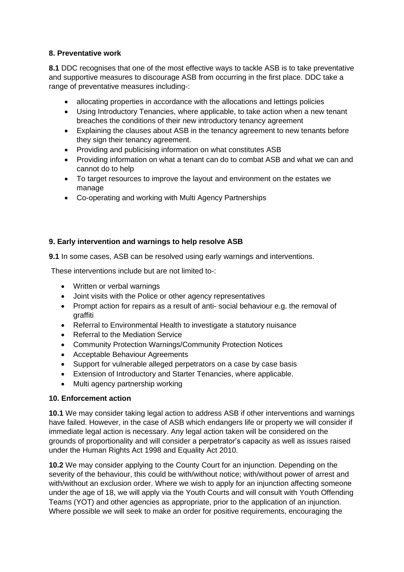#### **8. Preventative work**

**8.1** DDC recognises that one of the most effective ways to tackle ASB is to take preventative and supportive measures to discourage ASB from occurring in the first place. DDC take a range of preventative measures including-:

- allocating properties in accordance with the allocations and lettings policies
- Using Introductory Tenancies, where applicable, to take action when a new tenant breaches the conditions of their new introductory tenancy agreement
- Explaining the clauses about ASB in the tenancy agreement to new tenants before they sign their tenancy agreement.
- Providing and publicising information on what constitutes ASB
- Providing information on what a tenant can do to combat ASB and what we can and cannot do to help
- To target resources to improve the layout and environment on the estates we manage
- Co-operating and working with Multi Agency Partnerships

## **9. Early intervention and warnings to help resolve ASB**

**9.1** In some cases, ASB can be resolved using early warnings and interventions.

These interventions include but are not limited to-:

- Written or verbal warnings
- Joint visits with the Police or other agency representatives
- Prompt action for repairs as a result of anti- social behaviour e.g. the removal of graffiti
- Referral to Environmental Health to investigate a statutory nuisance
- Referral to the Mediation Service
- Community Protection Warnings/Community Protection Notices
- Acceptable Behaviour Agreements
- Support for vulnerable alleged perpetrators on a case by case basis
- Extension of Introductory and Starter Tenancies, where applicable.
- Multi agency partnership working

## **10. Enforcement action**

**10.1** We may consider taking legal action to address ASB if other interventions and warnings have failed. However, in the case of ASB which endangers life or property we will consider if immediate legal action is necessary. Any legal action taken will be considered on the grounds of proportionality and will consider a perpetrator's capacity as well as issues raised under the Human Rights Act 1998 and Equality Act 2010.

**10.2** We may consider applying to the County Court for an injunction. Depending on the severity of the behaviour, this could be with/without notice; with/without power of arrest and with/without an exclusion order. Where we wish to apply for an injunction affecting someone under the age of 18, we will apply via the Youth Courts and will consult with Youth Offending Teams (YOT) and other agencies as appropriate, prior to the application of an injunction. Where possible we will seek to make an order for positive requirements, encouraging the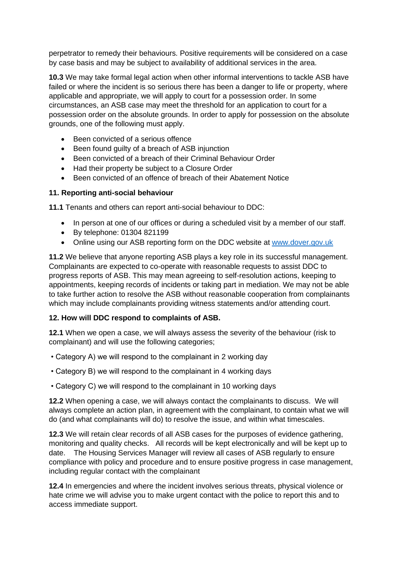perpetrator to remedy their behaviours. Positive requirements will be considered on a case by case basis and may be subject to availability of additional services in the area.

**10.3** We may take formal legal action when other informal interventions to tackle ASB have failed or where the incident is so serious there has been a danger to life or property, where applicable and appropriate, we will apply to court for a possession order. In some circumstances, an ASB case may meet the threshold for an application to court for a possession order on the absolute grounds. In order to apply for possession on the absolute grounds, one of the following must apply.

- Been convicted of a serious offence
- Been found guilty of a breach of ASB injunction
- Been convicted of a breach of their Criminal Behaviour Order
- Had their property be subject to a Closure Order
- Been convicted of an offence of breach of their Abatement Notice

#### **11. Reporting anti-social behaviour**

**11.1** Tenants and others can report anti-social behaviour to DDC:

- In person at one of our offices or during a scheduled visit by a member of our staff.
- By telephone: 01304 821199
- Online using our ASB reporting form on the DDC website at [www.dover.gov.uk](http://www.dover.gov.uk/)

**11.2** We believe that anyone reporting ASB plays a key role in its successful management. Complainants are expected to co-operate with reasonable requests to assist DDC to progress reports of ASB. This may mean agreeing to self-resolution actions, keeping to appointments, keeping records of incidents or taking part in mediation. We may not be able to take further action to resolve the ASB without reasonable cooperation from complainants which may include complainants providing witness statements and/or attending court.

#### **12. How will DDC respond to complaints of ASB.**

**12.1** When we open a case, we will always assess the severity of the behaviour (risk to complainant) and will use the following categories;

- Category A) we will respond to the complainant in 2 working day
- Category B) we will respond to the complainant in 4 working days
- Category C) we will respond to the complainant in 10 working days

**12.2** When opening a case, we will always contact the complainants to discuss. We will always complete an action plan, in agreement with the complainant, to contain what we will do (and what complainants will do) to resolve the issue, and within what timescales.

**12.3** We will retain clear records of all ASB cases for the purposes of evidence gathering, monitoring and quality checks. All records will be kept electronically and will be kept up to date. The Housing Services Manager will review all cases of ASB regularly to ensure compliance with policy and procedure and to ensure positive progress in case management, including regular contact with the complainant

**12.4** In emergencies and where the incident involves serious threats, physical violence or hate crime we will advise you to make urgent contact with the police to report this and to access immediate support.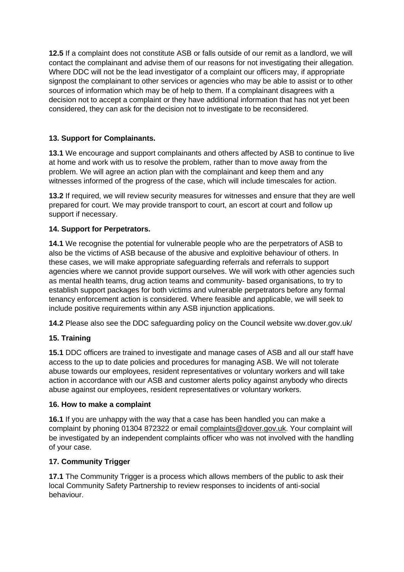**12.5** If a complaint does not constitute ASB or falls outside of our remit as a landlord, we will contact the complainant and advise them of our reasons for not investigating their allegation. Where DDC will not be the lead investigator of a complaint our officers may, if appropriate signpost the complainant to other services or agencies who may be able to assist or to other sources of information which may be of help to them. If a complainant disagrees with a decision not to accept a complaint or they have additional information that has not yet been considered, they can ask for the decision not to investigate to be reconsidered.

## **13. Support for Complainants.**

**13.1** We encourage and support complainants and others affected by ASB to continue to live at home and work with us to resolve the problem, rather than to move away from the problem. We will agree an action plan with the complainant and keep them and any witnesses informed of the progress of the case, which will include timescales for action.

**13.2** If required, we will review security measures for witnesses and ensure that they are well prepared for court. We may provide transport to court, an escort at court and follow up support if necessary.

## **14. Support for Perpetrators.**

**14.1** We recognise the potential for vulnerable people who are the perpetrators of ASB to also be the victims of ASB because of the abusive and exploitive behaviour of others. In these cases, we will make appropriate safeguarding referrals and referrals to support agencies where we cannot provide support ourselves. We will work with other agencies such as mental health teams, drug action teams and community- based organisations, to try to establish support packages for both victims and vulnerable perpetrators before any formal tenancy enforcement action is considered. Where feasible and applicable, we will seek to include positive requirements within any ASB injunction applications.

**14.2** Please also see the DDC safeguarding policy on the Council website ww.dover.gov.uk/

## **15. Training**

**15.1** DDC officers are trained to investigate and manage cases of ASB and all our staff have access to the up to date policies and procedures for managing ASB. We will not tolerate abuse towards our employees, resident representatives or voluntary workers and will take action in accordance with our ASB and customer alerts policy against anybody who directs abuse against our employees, resident representatives or voluntary workers.

#### **16. How to make a complaint**

**16.1** If you are unhappy with the way that a case has been handled you can make a complaint by phoning 01304 872322 or email [complaints@dover.gov.uk.](mailto:complain@dover.gov.uk) Your complaint will be investigated by an independent complaints officer who was not involved with the handling of your case.

## **17. Community Trigger**

**17.1** The Community Trigger is a process which allows members of the public to ask their local Community Safety Partnership to review responses to incidents of anti-social behaviour.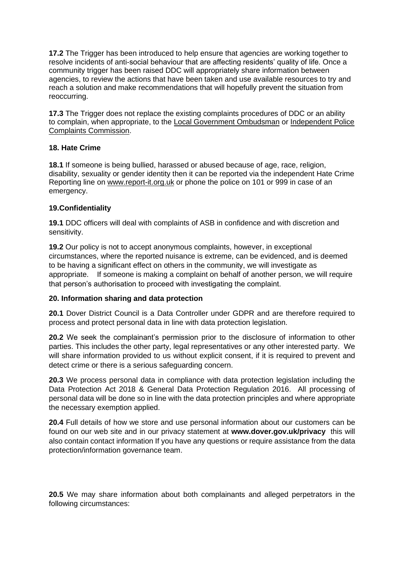**17.2** The Trigger has been introduced to help ensure that agencies are working together to resolve incidents of anti-social behaviour that are affecting residents' quality of life. Once a community trigger has been raised DDC will appropriately share information between agencies, to review the actions that have been taken and use available resources to try and reach a solution and make recommendations that will hopefully prevent the situation from reoccurring.

**17.3** The Trigger does not replace the existing complaints procedures of DDC or an ability to complain, when appropriate, to the [Local Government Ombudsman](http://www.lgo.org.uk/) or [Independent Police](http://www.ipcc.gov.uk/)  [Complaints Commission.](http://www.ipcc.gov.uk/)

## **18. Hate Crime**

**18.1** If someone is being bullied, harassed or abused because of age, race, religion, disability, sexuality or gender identity then it can be reported via the independent Hate Crime Reporting line on [www.report-it.org.uk](http://www.report-it.org.uk/) or phone the police on 101 or 999 in case of an emergency.

#### **19.Confidentiality**

**19.1** DDC officers will deal with complaints of ASB in confidence and with discretion and sensitivity.

**19.2** Our policy is not to accept anonymous complaints, however, in exceptional circumstances, where the reported nuisance is extreme, can be evidenced, and is deemed to be having a significant effect on others in the community, we will investigate as appropriate. If someone is making a complaint on behalf of another person, we will require that person's authorisation to proceed with investigating the complaint.

#### **20. Information sharing and data protection**

**20.1** Dover District Council is a Data Controller under GDPR and are therefore required to process and protect personal data in line with data protection legislation.

**20.2** We seek the complainant's permission prior to the disclosure of information to other parties. This includes the other party, legal representatives or any other interested party. We will share information provided to us without explicit consent, if it is required to prevent and detect crime or there is a serious safeguarding concern.

**20.3** We process personal data in compliance with data protection legislation including the Data Protection Act 2018 & General Data Protection Regulation 2016. All processing of personal data will be done so in line with the data protection principles and where appropriate the necessary exemption applied.

**20.4** Full details of how we store and use personal information about our customers can be found on our web site and in our privacy statement at **www.dover.gov.uk/privacy** this will also contain contact information If you have any questions or require assistance from the data protection/information governance team.

**20.5** We may share information about both complainants and alleged perpetrators in the following circumstances: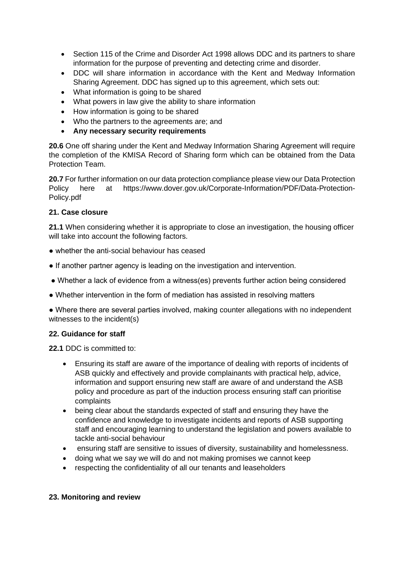- Section 115 of the Crime and Disorder Act 1998 allows DDC and its partners to share information for the purpose of preventing and detecting crime and disorder.
- DDC will share information in accordance with the Kent and Medway Information Sharing Agreement. DDC has signed up to this agreement, which sets out:
- What information is going to be shared
- What powers in law give the ability to share information
- How information is going to be shared
- Who the partners to the agreements are; and
- **Any necessary security requirements**

**20.6** One off sharing under the Kent and Medway Information Sharing Agreement will require the completion of the KMISA Record of Sharing form which can be obtained from the Data Protection Team.

**20.7** For further information on our data protection compliance please view our Data Protection Policy here at https://www.dover.gov.uk/Corporate-Information/PDF/Data-Protection-Policy.pdf

#### **21. Case closure**

**21.1** When considering whether it is appropriate to close an investigation, the housing officer will take into account the following factors.

- whether the anti-social behaviour has ceased
- If another partner agency is leading on the investigation and intervention.
- Whether a lack of evidence from a witness(es) prevents further action being considered
- Whether intervention in the form of mediation has assisted in resolving matters

• Where there are several parties involved, making counter allegations with no independent witnesses to the incident(s)

#### **22. Guidance for staff**

**22.1** DDC is committed to:

- Ensuring its staff are aware of the importance of dealing with reports of incidents of ASB quickly and effectively and provide complainants with practical help, advice, information and support ensuring new staff are aware of and understand the ASB policy and procedure as part of the induction process ensuring staff can prioritise complaints
- being clear about the standards expected of staff and ensuring they have the confidence and knowledge to investigate incidents and reports of ASB supporting staff and encouraging learning to understand the legislation and powers available to tackle anti-social behaviour
- ensuring staff are sensitive to issues of diversity, sustainability and homelessness.
- doing what we say we will do and not making promises we cannot keep
- respecting the confidentiality of all our tenants and leaseholders

#### **23. Monitoring and review**